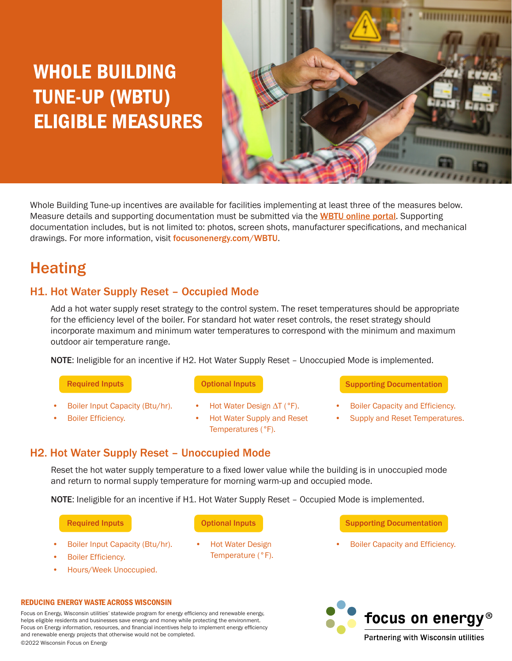# WHOLE BUILDING TUNE-UP (WBTU) ELIGIBLE MEASURES



Whole Building Tune-up incentives are available for facilities implementing at least three of the measures below. Measure details and supporting documentation must be submitted via the **[WBTU online portal](https://focusonenergy.formstack.com/forms/whole_building_tune_up_offering_form)**. Supporting documentation includes, but is not limited to: photos, screen shots, manufacturer specifications, and mechanical drawings. For more information, visit focusonenergy.com/WBTU.

# **Heating**

# H1. Hot Water Supply Reset – Occupied Mode

Add a hot water supply reset strategy to the control system. The reset temperatures should be appropriate for the efficiency level of the boiler. For standard hot water reset controls, the reset strategy should incorporate maximum and minimum water temperatures to correspond with the minimum and maximum outdoor air temperature range.

NOTE: Ineligible for an incentive if H2. Hot Water Supply Reset – Unoccupied Mode is implemented.

- Required Inputs
- Boiler Input Capacity (Btu/hr).
- Boiler Efficiency.
- Optional Inputs Optional Inputs Optional Inputs
- Hot Water Design ∆T (°F).
- Hot Water Supply and Reset Temperatures (°F).
- Supporting Documentation
- Boiler Capacity and Efficiency.
- Supply and Reset Temperatures.

# H2. Hot Water Supply Reset – Unoccupied Mode

Reset the hot water supply temperature to a fixed lower value while the building is in unoccupied mode and return to normal supply temperature for morning warm-up and occupied mode.

NOTE: Ineligible for an incentive if H1. Hot Water Supply Reset - Occupied Mode is implemented.

Required Inputs

- Boiler Input Capacity (Btu/hr).
- Boiler Efficiency.
- Hours/Week Unoccupied.

### Optional Inputs Optional Inputs Optional Inputs

• Hot Water Design Temperature (°F).

- Supporting Documentation
- Boiler Capacity and Efficiency.



#### REDUCING ENERGY WASTE ACROSS WISCONSIN

Focus on Energy, Wisconsin utilities' statewide program for energy efficiency and renewable energy, helps eligible residents and businesses save energy and money while protecting the environment. Focus on Energy information, resources, and financial incentives help to implement energy efficiency and renewable energy projects that otherwise would not be completed. ©2022 Wisconsin Focus on Energy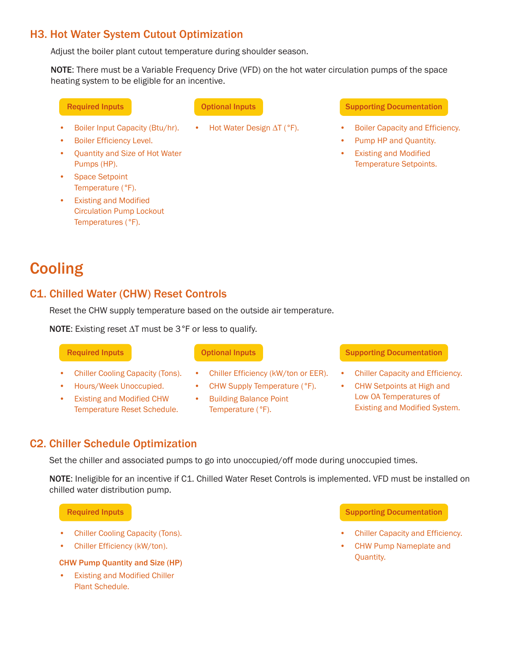# H3. Hot Water System Cutout Optimization

Adjust the boiler plant cutout temperature during shoulder season.

NOTE: There must be a Variable Frequency Drive (VFD) on the hot water circulation pumps of the space heating system to be eligible for an incentive.

- Boiler Input Capacity (Btu/hr).
- Boiler Efficiency Level.
- Quantity and Size of Hot Water Pumps (HP).
- Space Setpoint Temperature (°F).
- **Existing and Modified** Circulation Pump Lockout Temperatures (°F).

#### Required Inputs **Optional Inputs Community** Supporting Documentation

- Hot Water Design ∆T (°F). Boiler Capacity and Efficiency.
	- Pump HP and Quantity.
	- **Existing and Modified** Temperature Setpoints.

# **Cooling**

# C1. Chilled Water (CHW) Reset Controls

Reset the CHW supply temperature based on the outside air temperature.

NOTE: Existing reset ∆T must be 3°F or less to qualify.

### **Required Inputs**

- Chiller Cooling Capacity (Tons).
- Hours/Week Unoccupied.
- Existing and Modified CHW Temperature Reset Schedule.
- 
- Chiller Efficiency (kW/ton or EER).
- CHW Supply Temperature (°F).
- Building Balance Point Temperature (°F).

### Optional Inputs **Contact Contact Contact Supporting Documentation**

- Chiller Capacity and Efficiency.
- CHW Setpoints at High and Low OA Temperatures of Existing and Modified System.

# C2. Chiller Schedule Optimization

Set the chiller and associated pumps to go into unoccupied/off mode during unoccupied times.

NOTE: Ineligible for an incentive if C1. Chilled Water Reset Controls is implemented. VFD must be installed on chilled water distribution pump.

Required Inputs

- Chiller Cooling Capacity (Tons).
- Chiller Efficiency (kW/ton).

#### CHW Pump Quantity and Size (HP)

• Existing and Modified Chiller Plant Schedule.

### Supporting Documentation

- Chiller Capacity and Efficiency.
- CHW Pump Nameplate and Quantity.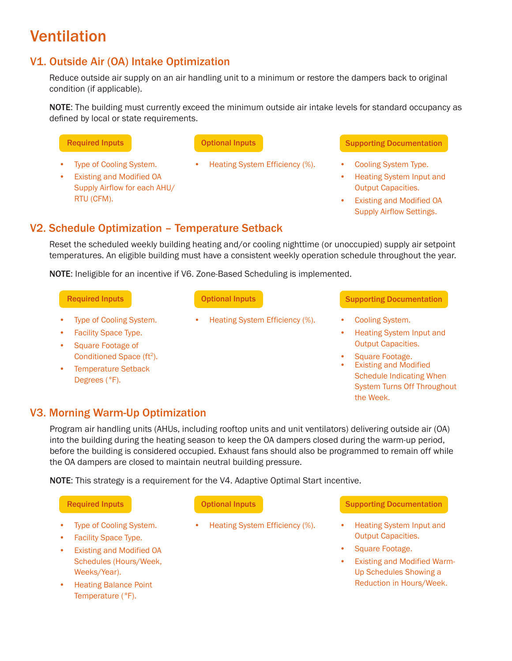# Ventilation

# V1. Outside Air (OA) Intake Optimization

Reduce outside air supply on an air handling unit to a minimum or restore the dampers back to original condition (if applicable).

NOTE: The building must currently exceed the minimum outside air intake levels for standard occupancy as defined by local or state requirements.

## Optional Inputs

Type of Cooling System.

**Existing and Modified OA** Supply Airflow for each AHU/ RTU (CFM).

• Heating System Efficiency (%). • Cooling System Type.

### **Required Inputs Contact Accord Contact Optional Inputs Contact Contact Supporting Documentation**

- 
- Heating System Input and Output Capacities.
- Existing and Modified OA Supply Airflow Settings.

# V2. Schedule Optimization – Temperature Setback

Reset the scheduled weekly building heating and/or cooling nighttime (or unoccupied) supply air setpoint temperatures. An eligible building must have a consistent weekly operation schedule throughout the year.

NOTE: Ineligible for an incentive if V6. Zone-Based Scheduling is implemented.

### Required Inputs

- Type of Cooling System.
- Facility Space Type.
- Square Footage of Conditioned Space (ft<sup>2</sup>).
- Temperature Setback Degrees (°F).

### Optional Inputs Optional Inputs

• Heating System Efficiency (%). • Cooling System.

### Supporting Documentation

- 
- Heating System Input and Output Capacities.
- Square Footage.
- **Existing and Modified** Schedule Indicating When System Turns Off Throughout the Week.

# V3. Morning Warm-Up Optimization

Program air handling units (AHUs, including rooftop units and unit ventilators) delivering outside air (OA) into the building during the heating season to keep the OA dampers closed during the warm-up period, before the building is considered occupied. Exhaust fans should also be programmed to remain off while the OA dampers are closed to maintain neutral building pressure.

NOTE: This strategy is a requirement for the V4. Adaptive Optimal Start incentive.

### Required Inputs

- **Type of Cooling System.**
- Facility Space Type.
- Existing and Modified OA Schedules (Hours/Week, Weeks/Year).
- Heating Balance Point Temperature (°F).

### Optional Inputs Optional Inputs

• Heating System Efficiency (%). • Heating System Input and

### Supporting Documentation

- Output Capacities.
- Square Footage.
- Existing and Modified Warm-Up Schedules Showing a Reduction in Hours/Week.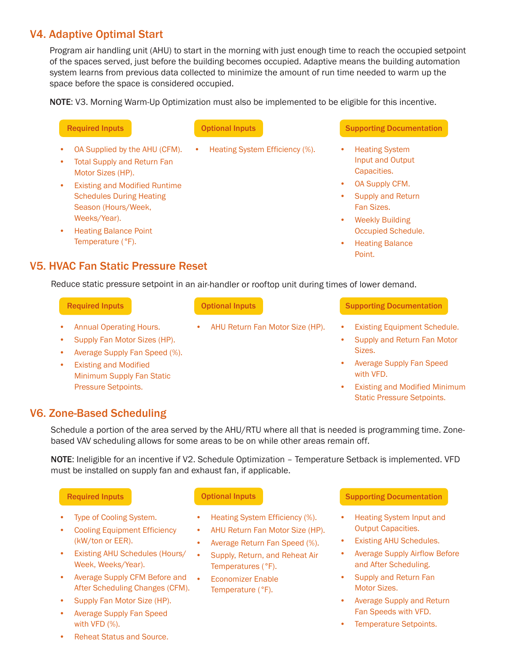# V4. Adaptive Optimal Start

Program air handling unit (AHU) to start in the morning with just enough time to reach the occupied setpoint of the spaces served, just before the building becomes occupied. Adaptive means the building automation system learns from previous data collected to minimize the amount of run time needed to warm up the space before the space is considered occupied.

NOTE: V3. Morning Warm-Up Optimization must also be implemented to be eligible for this incentive.

- OA Supplied by the AHU (CFM).
- **Total Supply and Return Fan** Motor Sizes (HP).
- **Existing and Modified Runtime** Schedules During Heating Season (Hours/Week, Weeks/Year).
- Heating Balance Point Temperature (°F).

• Heating System Efficiency (%). • Heating System

### **Required Inputs Contact Access Optional Inputs Contact Contact Contact Supporting Documentation**

- Input and Output Capacities.
- OA Supply CFM.
- Supply and Return Fan Sizes.
- **Weekly Building** Occupied Schedule.
- Heating Balance Point.

## V5. HVAC Fan Static Pressure Reset

Reduce static pressure setpoint in an air-handler or rooftop unit during times of lower demand.

#### Required Inputs

- Annual Operating Hours.
- Supply Fan Motor Sizes (HP).
- Average Supply Fan Speed (%).
- **Existing and Modified** Minimum Supply Fan Static Pressure Setpoints.

#### Optional Inputs

• AHU Return Fan Motor Size (HP). • Existing Equipment Schedule.

#### Supporting Documentation

- 
- Supply and Return Fan Motor Sizes.
- Average Supply Fan Speed with VFD.
- **Existing and Modified Minimum** Static Pressure Setpoints.

## V6. Zone-Based Scheduling

Schedule a portion of the area served by the AHU/RTU where all that is needed is programming time. Zonebased VAV scheduling allows for some areas to be on while other areas remain off.

NOTE: Ineligible for an incentive if V2. Schedule Optimization - Temperature Setback is implemented. VFD must be installed on supply fan and exhaust fan, if applicable.

### Required Inputs

- Type of Cooling System.
- **Cooling Equipment Efficiency** (kW/ton or EER).
- Existing AHU Schedules (Hours/ Week, Weeks/Year).
- Average Supply CFM Before and After Scheduling Changes (CFM).
- Supply Fan Motor Size (HP).
- Average Supply Fan Speed with VFD (%).

- Heating System Efficiency (%).
- AHU Return Fan Motor Size (HP).
- Average Return Fan Speed (%).
- Supply, Return, and Reheat Air Temperatures (°F).
- Economizer Enable Temperature (°F).

### Optional Inputs **Supporting Documentation**

- Heating System Input and Output Capacities.
- Existing AHU Schedules.
- Average Supply Airflow Before and After Scheduling.
- Supply and Return Fan Motor Sizes.
- Average Supply and Return Fan Speeds with VFD.
- Temperature Setpoints.

• Reheat Status and Source.